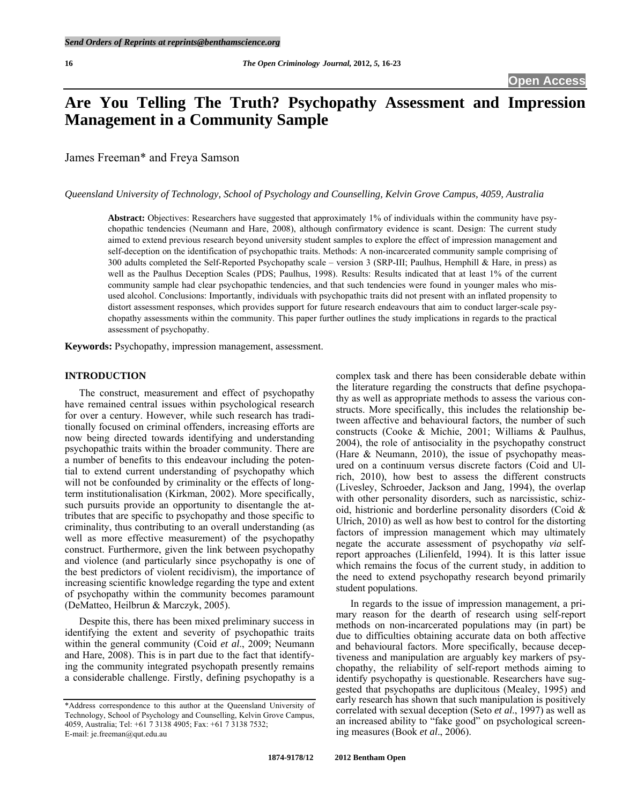# **Are You Telling The Truth? Psychopathy Assessment and Impression Management in a Community Sample**

James Freeman\* and Freya Samson

*Queensland University of Technology, School of Psychology and Counselling, Kelvin Grove Campus, 4059, Australia* 

**Abstract:** Objectives: Researchers have suggested that approximately 1% of individuals within the community have psychopathic tendencies (Neumann and Hare, 2008), although confirmatory evidence is scant. Design: The current study aimed to extend previous research beyond university student samples to explore the effect of impression management and self-deception on the identification of psychopathic traits. Methods: A non-incarcerated community sample comprising of 300 adults completed the Self-Reported Psychopathy scale – version 3 (SRP-III; Paulhus, Hemphill & Hare, in press) as well as the Paulhus Deception Scales (PDS; Paulhus, 1998). Results: Results indicated that at least 1% of the current community sample had clear psychopathic tendencies, and that such tendencies were found in younger males who misused alcohol. Conclusions: Importantly, individuals with psychopathic traits did not present with an inflated propensity to distort assessment responses, which provides support for future research endeavours that aim to conduct larger-scale psychopathy assessments within the community. This paper further outlines the study implications in regards to the practical assessment of psychopathy.

**Keywords:** Psychopathy, impression management, assessment.

## **INTRODUCTION**

 The construct, measurement and effect of psychopathy have remained central issues within psychological research for over a century. However, while such research has traditionally focused on criminal offenders, increasing efforts are now being directed towards identifying and understanding psychopathic traits within the broader community. There are a number of benefits to this endeavour including the potential to extend current understanding of psychopathy which will not be confounded by criminality or the effects of longterm institutionalisation (Kirkman, 2002). More specifically, such pursuits provide an opportunity to disentangle the attributes that are specific to psychopathy and those specific to criminality, thus contributing to an overall understanding (as well as more effective measurement) of the psychopathy construct. Furthermore, given the link between psychopathy and violence (and particularly since psychopathy is one of the best predictors of violent recidivism), the importance of increasing scientific knowledge regarding the type and extent of psychopathy within the community becomes paramount (DeMatteo, Heilbrun & Marczyk, 2005).

 Despite this, there has been mixed preliminary success in identifying the extent and severity of psychopathic traits within the general community (Coid *et al*., 2009; Neumann and Hare, 2008). This is in part due to the fact that identifying the community integrated psychopath presently remains a considerable challenge. Firstly, defining psychopathy is a

complex task and there has been considerable debate within the literature regarding the constructs that define psychopathy as well as appropriate methods to assess the various constructs. More specifically, this includes the relationship between affective and behavioural factors, the number of such constructs (Cooke & Michie, 2001; Williams & Paulhus, 2004), the role of antisociality in the psychopathy construct (Hare & Neumann, 2010), the issue of psychopathy measured on a continuum versus discrete factors (Coid and Ulrich, 2010), how best to assess the different constructs (Livesley, Schroeder, Jackson and Jang, 1994), the overlap with other personality disorders, such as narcissistic, schizoid, histrionic and borderline personality disorders (Coid & Ulrich, 2010) as well as how best to control for the distorting factors of impression management which may ultimately negate the accurate assessment of psychopathy *via* selfreport approaches (Lilienfeld, 1994). It is this latter issue which remains the focus of the current study, in addition to the need to extend psychopathy research beyond primarily student populations.

 In regards to the issue of impression management, a primary reason for the dearth of research using self-report methods on non-incarcerated populations may (in part) be due to difficulties obtaining accurate data on both affective and behavioural factors. More specifically, because deceptiveness and manipulation are arguably key markers of psychopathy, the reliability of self-report methods aiming to identify psychopathy is questionable. Researchers have suggested that psychopaths are duplicitous (Mealey, 1995) and early research has shown that such manipulation is positively correlated with sexual deception (Seto *et al*., 1997) as well as an increased ability to "fake good" on psychological screening measures (Book *et al*., 2006).

<sup>\*</sup>Address correspondence to this author at the Queensland University of Technology, School of Psychology and Counselling, Kelvin Grove Campus, 4059, Australia; Tel: +61 7 3138 4905; Fax: +61 7 3138 7532; E-mail: je.freeman@qut.edu.au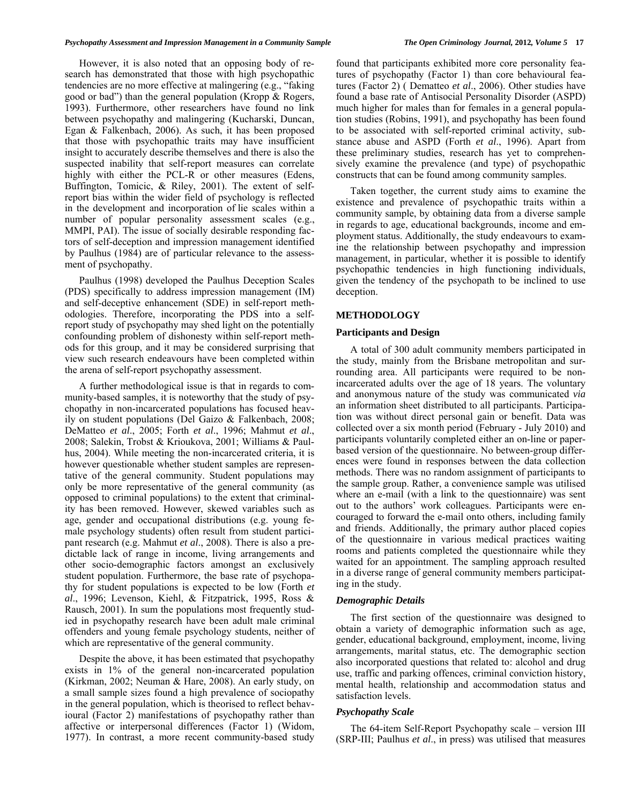However, it is also noted that an opposing body of research has demonstrated that those with high psychopathic tendencies are no more effective at malingering (e.g., "faking good or bad") than the general population (Kropp & Rogers, 1993). Furthermore, other researchers have found no link between psychopathy and malingering (Kucharski, Duncan, Egan & Falkenbach, 2006). As such, it has been proposed that those with psychopathic traits may have insufficient insight to accurately describe themselves and there is also the suspected inability that self-report measures can correlate highly with either the PCL-R or other measures (Edens, Buffington, Tomicic, & Riley, 2001). The extent of selfreport bias within the wider field of psychology is reflected in the development and incorporation of lie scales within a number of popular personality assessment scales (e.g., MMPI, PAI). The issue of socially desirable responding factors of self-deception and impression management identified by Paulhus (1984) are of particular relevance to the assessment of psychopathy.

 Paulhus (1998) developed the Paulhus Deception Scales (PDS) specifically to address impression management (IM) and self-deceptive enhancement (SDE) in self-report methodologies. Therefore, incorporating the PDS into a selfreport study of psychopathy may shed light on the potentially confounding problem of dishonesty within self-report methods for this group, and it may be considered surprising that view such research endeavours have been completed within the arena of self-report psychopathy assessment.

 A further methodological issue is that in regards to community-based samples, it is noteworthy that the study of psychopathy in non-incarcerated populations has focused heavily on student populations (Del Gaizo & Falkenbach, 2008; DeMatteo *et al*., 2005; Forth *et al*., 1996; Mahmut *et al*., 2008; Salekin, Trobst & Krioukova, 2001; Williams & Paulhus, 2004). While meeting the non-incarcerated criteria, it is however questionable whether student samples are representative of the general community. Student populations may only be more representative of the general community (as opposed to criminal populations) to the extent that criminality has been removed. However, skewed variables such as age, gender and occupational distributions (e.g. young female psychology students) often result from student participant research (e.g. Mahmut *et al*., 2008). There is also a predictable lack of range in income, living arrangements and other socio-demographic factors amongst an exclusively student population. Furthermore, the base rate of psychopathy for student populations is expected to be low (Forth *et al*., 1996; Levenson, Kiehl, & Fitzpatrick, 1995, Ross & Rausch, 2001). In sum the populations most frequently studied in psychopathy research have been adult male criminal offenders and young female psychology students, neither of which are representative of the general community.

 Despite the above, it has been estimated that psychopathy exists in 1% of the general non-incarcerated population (Kirkman, 2002; Neuman & Hare, 2008). An early study, on a small sample sizes found a high prevalence of sociopathy in the general population, which is theorised to reflect behavioural (Factor 2) manifestations of psychopathy rather than affective or interpersonal differences (Factor 1) (Widom, 1977). In contrast, a more recent community-based study

found that participants exhibited more core personality features of psychopathy (Factor 1) than core behavioural features (Factor 2) ( Dematteo *et al*., 2006). Other studies have found a base rate of Antisocial Personality Disorder (ASPD) much higher for males than for females in a general population studies (Robins, 1991), and psychopathy has been found to be associated with self-reported criminal activity, substance abuse and ASPD (Forth *et al*., 1996). Apart from these preliminary studies, research has yet to comprehensively examine the prevalence (and type) of psychopathic constructs that can be found among community samples.

 Taken together, the current study aims to examine the existence and prevalence of psychopathic traits within a community sample, by obtaining data from a diverse sample in regards to age, educational backgrounds, income and employment status. Additionally, the study endeavours to examine the relationship between psychopathy and impression management, in particular, whether it is possible to identify psychopathic tendencies in high functioning individuals, given the tendency of the psychopath to be inclined to use deception.

#### **METHODOLOGY**

#### **Participants and Design**

 A total of 300 adult community members participated in the study, mainly from the Brisbane metropolitan and surrounding area. All participants were required to be nonincarcerated adults over the age of 18 years. The voluntary and anonymous nature of the study was communicated *via* an information sheet distributed to all participants. Participation was without direct personal gain or benefit. Data was collected over a six month period (February - July 2010) and participants voluntarily completed either an on-line or paperbased version of the questionnaire. No between-group differences were found in responses between the data collection methods. There was no random assignment of participants to the sample group. Rather, a convenience sample was utilised where an e-mail (with a link to the questionnaire) was sent out to the authors' work colleagues. Participants were encouraged to forward the e-mail onto others, including family and friends. Additionally, the primary author placed copies of the questionnaire in various medical practices waiting rooms and patients completed the questionnaire while they waited for an appointment. The sampling approach resulted in a diverse range of general community members participating in the study.

#### *Demographic Details*

 The first section of the questionnaire was designed to obtain a variety of demographic information such as age, gender, educational background, employment, income, living arrangements, marital status, etc. The demographic section also incorporated questions that related to: alcohol and drug use, traffic and parking offences, criminal conviction history, mental health, relationship and accommodation status and satisfaction levels.

#### *Psychopathy Scale*

 The 64-item Self-Report Psychopathy scale – version III (SRP-III; Paulhus *et al*., in press) was utilised that measures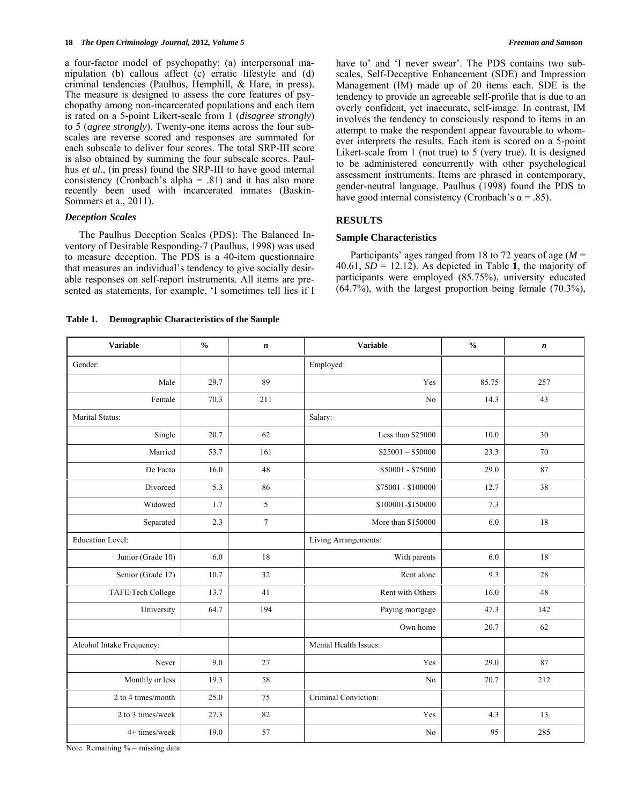a four-factor model of psychopathy: (a) interpersonal manipulation (b) callous affect (c) erratic lifestyle and (d) criminal tendencies (Paulhus, Hemphill, & Hare, in press). The measure is designed to assess the core features of psychopathy among non-incarcerated populations and each item is rated on a 5-point Likert-scale from 1 (*disagree strongly*) to 5 (*agree strongly*). Twenty-one items across the four subscales are reverse scored and responses are summated for each subscale to deliver four scores. The total SRP-III score is also obtained by summing the four subscale scores. Paulhus *et al*., (in press) found the SRP-III to have good internal consistency (Cronbach's alpha =  $.81$ ) and it has also more recently been used with incarcerated inmates (Baskin-Sommers et a., 2011).

## *Deception Scales*

 The Paulhus Deception Scales (PDS): The Balanced Inventory of Desirable Responding-7 (Paulhus, 1998) was used to measure deception. The PDS is a 40-item questionnaire that measures an individual's tendency to give socially desirable responses on self-report instruments. All items are presented as statements, for example, 'I sometimes tell lies if I have to' and 'I never swear'. The PDS contains two subscales, Self-Deceptive Enhancement (SDE) and Impression Management (IM) made up of 20 items each. SDE is the tendency to provide an agreeable self-profile that is due to an overly confident, yet inaccurate, self-image. In contrast, IM involves the tendency to consciously respond to items in an attempt to make the respondent appear favourable to whomever interprets the results. Each item is scored on a 5-point Likert-scale from 1 (not true) to 5 (very true). It is designed to be administered concurrently with other psychological assessment instruments. Items are phrased in contemporary, gender-neutral language. Paulhus (1998) found the PDS to have good internal consistency (Cronbach's  $\alpha$  = .85).

# **RESULTS**

## **Sample Characteristics**

 Participants' ages ranged from 18 to 72 years of age (*M* = 40.61,  $SD = 12.12$ ). As depicted in Table 1, the majority of participants were employed (85.75%), university educated (64.7%), with the largest proportion being female (70.3%),

**Table 1. Demographic Characteristics of the Sample** 

| <b>Variable</b>           | $\frac{0}{0}$ | $\boldsymbol{n}$ | <b>Variable</b>       | $\frac{0}{0}$ | $\boldsymbol{n}$ |
|---------------------------|---------------|------------------|-----------------------|---------------|------------------|
| Gender:                   |               |                  | Employed:             |               |                  |
| Male                      | 29.7          | 89               | Yes                   | 85.75         | 257              |
| Female                    | 70.3          | 211              | No                    | 14.3          | 43               |
| Marital Status:           |               |                  | Salary:               |               |                  |
| Single                    | 20.7          | 62               | Less than \$25000     | 10.0          | 30               |
| Married                   | 53.7          | 161              | $$25001 - $50000$     | 23.3          | 70               |
| De Facto                  | 16.0          | 48               | \$50001 - \$75000     | 29.0          | 87               |
| Divorced                  | 5.3           | 86               | \$75001 - \$100000    | 12.7          | 38               |
| Widowed                   | 1.7           | 5                | \$100001-\$150000     | 7.3           |                  |
| Separated                 | 2.3           | $\tau$           | More than \$150000    | 6.0           | 18               |
| <b>Education Level:</b>   |               |                  | Living Arrangements:  |               |                  |
| Junior (Grade 10)         | 6.0           | 18               | With parents          | 6.0           | 18               |
| Senior (Grade 12)         | 10.7          | 32               | Rent alone            | 9.3           | 28               |
| TAFE/Tech College         | 13.7          | 41               | Rent with Others      | 16.0          | 48               |
| University                | 64.7          | 194              | Paying mortgage       | 47.3          | 142              |
|                           |               |                  | Own home              | 20.7          | 62               |
| Alcohol Intake Frequency: |               |                  | Mental Health Issues: |               |                  |
| Never                     | 9.0           | 27               | Yes                   | 29.0          | 87               |
| Monthly or less           | 19.3          | 58               | N <sub>0</sub>        | 70.7          | 212              |
| 2 to 4 times/month        | 25.0          | 75               | Criminal Conviction:  |               |                  |
| 2 to 3 times/week         | 27.3          | 82               | Yes                   | 4.3           | 13               |
| 4+ times/week             | 19.0          | 57               | No                    | 95            | 285              |

Note. Remaining % = missing data.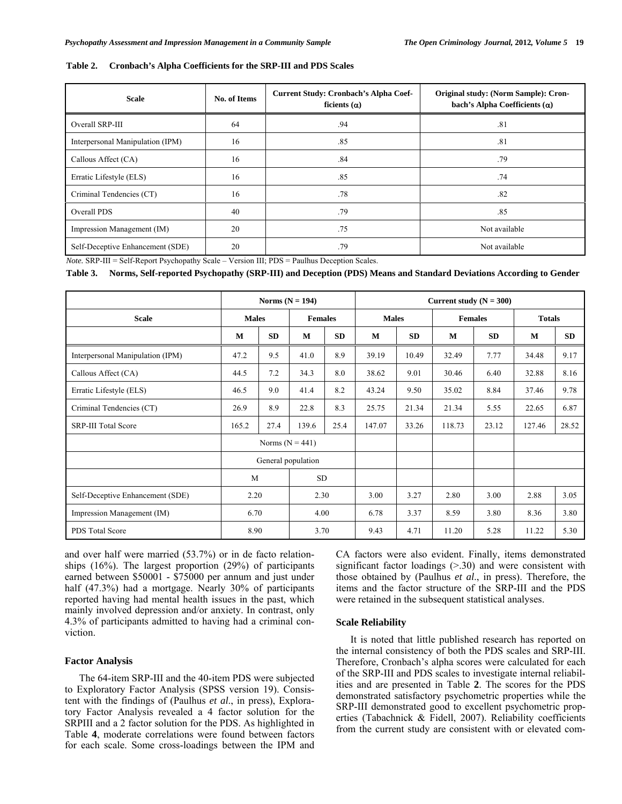| Table 2. Cronbach's Alpha Coefficients for the SRP-III and PDS Scales |  |  |  |  |  |
|-----------------------------------------------------------------------|--|--|--|--|--|
|-----------------------------------------------------------------------|--|--|--|--|--|

| <b>Scale</b>                     | No. of Items | <b>Current Study: Cronbach's Alpha Coef-</b><br>ficients $(\alpha)$ | Original study: (Norm Sample): Cron-<br>bach's Alpha Coefficients $(\alpha)$ |
|----------------------------------|--------------|---------------------------------------------------------------------|------------------------------------------------------------------------------|
| Overall SRP-III                  | 64           | .94                                                                 | .81                                                                          |
| Interpersonal Manipulation (IPM) | 16           | .85                                                                 | .81                                                                          |
| Callous Affect (CA)              | 16           | .84                                                                 | .79                                                                          |
| Erratic Lifestyle (ELS)          | 16           | .85                                                                 | .74                                                                          |
| Criminal Tendencies (CT)         | 16           | .78                                                                 | .82                                                                          |
| Overall PDS                      | 40           | .79                                                                 | .85                                                                          |
| Impression Management (IM)       | 20           | .75                                                                 | Not available                                                                |
| Self-Deceptive Enhancement (SDE) | 20           | .79                                                                 | Not available                                                                |

*Note.* SRP-III = Self-Report Psychopathy Scale – Version III; PDS = Paulhus Deception Scales.

**Table 3. Norms, Self-reported Psychopathy (SRP-III) and Deception (PDS) Means and Standard Deviations According to Gender** 

|                                  | Norms $(N = 194)$  |           |       |                | Current study $(N = 300)$ |              |        |                |        |               |  |
|----------------------------------|--------------------|-----------|-------|----------------|---------------------------|--------------|--------|----------------|--------|---------------|--|
| <b>Scale</b>                     | <b>Males</b>       |           |       | <b>Females</b> |                           | <b>Males</b> |        | <b>Females</b> |        | <b>Totals</b> |  |
|                                  | М                  | <b>SD</b> | M     | <b>SD</b>      | M                         | SD           | M      | <b>SD</b>      | M      | SD            |  |
| Interpersonal Manipulation (IPM) | 47.2               | 9.5       | 41.0  | 8.9            | 39.19                     | 10.49        | 32.49  | 7.77           | 34.48  | 9.17          |  |
| Callous Affect (CA)              | 44.5               | 7.2       | 34.3  | 8.0            | 38.62                     | 9.01         | 30.46  | 6.40           | 32.88  | 8.16          |  |
| Erratic Lifestyle (ELS)          | 46.5               | 9.0       | 41.4  | 8.2            | 43.24                     | 9.50         | 35.02  | 8.84           | 37.46  | 9.78          |  |
| Criminal Tendencies (CT)         | 26.9               | 8.9       | 22.8  | 8.3            | 25.75                     | 21.34        | 21.34  | 5.55           | 22.65  | 6.87          |  |
| <b>SRP-III Total Score</b>       | 165.2              | 27.4      | 139.6 | 25.4           | 147.07                    | 33.26        | 118.73 | 23.12          | 127.46 | 28.52         |  |
|                                  | Norms $(N = 441)$  |           |       |                |                           |              |        |                |        |               |  |
|                                  | General population |           |       |                |                           |              |        |                |        |               |  |
|                                  | M                  |           | SD    |                |                           |              |        |                |        |               |  |
| Self-Deceptive Enhancement (SDE) | 2.20               |           | 2.30  |                | 3.00                      | 3.27         | 2.80   | 3.00           | 2.88   | 3.05          |  |
| Impression Management (IM)       | 6.70               |           | 4.00  |                | 6.78                      | 3.37         | 8.59   | 3.80           | 8.36   | 3.80          |  |
| PDS Total Score                  | 8.90               |           | 3.70  |                | 9.43                      | 4.71         | 11.20  | 5.28           | 11.22  | 5.30          |  |

and over half were married (53.7%) or in de facto relationships  $(16\%)$ . The largest proportion  $(29\%)$  of participants earned between \$50001 - \$75000 per annum and just under half (47.3%) had a mortgage. Nearly 30% of participants reported having had mental health issues in the past, which mainly involved depression and/or anxiety. In contrast, only 4.3% of participants admitted to having had a criminal conviction.

#### **Factor Analysis**

 The 64-item SRP-III and the 40-item PDS were subjected to Exploratory Factor Analysis (SPSS version 19). Consistent with the findings of (Paulhus *et al*., in press), Exploratory Factor Analysis revealed a 4 factor solution for the SRPIII and a 2 factor solution for the PDS. As highlighted in Table **4**, moderate correlations were found between factors for each scale. Some cross-loadings between the IPM and CA factors were also evident. Finally, items demonstrated significant factor loadings  $(>30)$  and were consistent with those obtained by (Paulhus *et al*., in press). Therefore, the items and the factor structure of the SRP-III and the PDS were retained in the subsequent statistical analyses.

## **Scale Reliability**

 It is noted that little published research has reported on the internal consistency of both the PDS scales and SRP-III. Therefore, Cronbach's alpha scores were calculated for each of the SRP-III and PDS scales to investigate internal reliabilities and are presented in Table **2**. The scores for the PDS demonstrated satisfactory psychometric properties while the SRP-III demonstrated good to excellent psychometric properties (Tabachnick & Fidell, 2007). Reliability coefficients from the current study are consistent with or elevated com-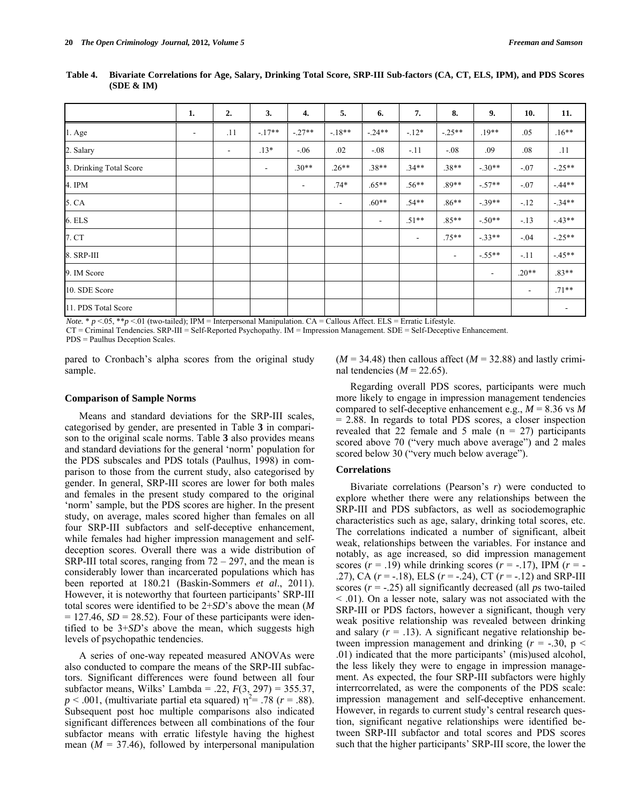|                         | 1.                       | 2.             | 3.      | 4.                       | 5.                       | 6.                       | 7.                       | 8.       | 9.                       | 10.                      | 11.                      |
|-------------------------|--------------------------|----------------|---------|--------------------------|--------------------------|--------------------------|--------------------------|----------|--------------------------|--------------------------|--------------------------|
| $1.$ Age                | $\overline{\phantom{a}}$ | .11            | $-17**$ | $-.27**$                 | $-18**$                  | $-24**$                  | $-12*$                   | $-.25**$ | $.19**$                  | .05                      | $.16**$                  |
| 2. Salary               |                          | $\blacksquare$ | $.13*$  | $-.06$                   | .02                      | $-.08$                   | $-11$                    | $-.08$   | .09                      | .08                      | .11                      |
| 3. Drinking Total Score |                          |                | $\sim$  | $.30**$                  | $.26**$                  | $.38**$                  | $.34**$                  | $.38**$  | $-.30**$                 | $-.07$                   | $-.25**$                 |
| 4. IPM                  |                          |                |         | $\overline{\phantom{a}}$ | $.74*$                   | $.65**$                  | $.56**$                  | $.89**$  | $-.57**$                 | $-.07$                   | $-44**$                  |
| 5. CA                   |                          |                |         |                          | $\overline{\phantom{a}}$ | $.60**$                  | $.54**$                  | $.86**$  | $-39**$                  | $-.12$                   | $-.34**$                 |
| 6. ELS                  |                          |                |         |                          |                          | $\overline{\phantom{a}}$ | $.51**$                  | $.85**$  | $-.50**$                 | $-13$                    | $-.43**$                 |
| 7. CT                   |                          |                |         |                          |                          |                          | $\overline{\phantom{a}}$ | $.75**$  | $-33**$                  | $-.04$                   | $-.25**$                 |
| 8. SRP-III              |                          |                |         |                          |                          |                          |                          | ۰        | $-.55**$                 | $-.11$                   | $-.45**$                 |
| 9. IM Score             |                          |                |         |                          |                          |                          |                          |          | $\overline{\phantom{a}}$ | $.20**$                  | $.83**$                  |
| 10. SDE Score           |                          |                |         |                          |                          |                          |                          |          |                          | $\overline{\phantom{a}}$ | $.71**$                  |
| 11. PDS Total Score     |                          |                |         |                          |                          |                          |                          |          |                          |                          | $\overline{\phantom{a}}$ |

**Table 4. Bivariate Correlations for Age, Salary, Drinking Total Score, SRP-III Sub-factors (CA, CT, ELS, IPM), and PDS Scores (SDE & IM)** 

*Note.* \*  $p < 0.05$ , \*\* $p < 0.1$  (two-tailed); IPM = Interpersonal Manipulation. CA = Callous Affect. ELS = Erratic Lifestyle.

CT = Criminal Tendencies. SRP-III = Self-Reported Psychopathy. IM = Impression Management. SDE = Self-Deceptive Enhancement.

PDS = Paulhus Deception Scales.

pared to Cronbach's alpha scores from the original study sample.

#### **Comparison of Sample Norms**

 Means and standard deviations for the SRP-III scales, categorised by gender, are presented in Table **3** in comparison to the original scale norms. Table **3** also provides means and standard deviations for the general 'norm' population for the PDS subscales and PDS totals (Paulhus, 1998) in comparison to those from the current study, also categorised by gender. In general, SRP-III scores are lower for both males and females in the present study compared to the original 'norm' sample, but the PDS scores are higher. In the present study, on average, males scored higher than females on all four SRP-III subfactors and self-deceptive enhancement, while females had higher impression management and selfdeception scores. Overall there was a wide distribution of SRP-III total scores, ranging from  $72 - 297$ , and the mean is considerably lower than incarcerated populations which has been reported at 180.21 (Baskin-Sommers *et al*., 2011). However, it is noteworthy that fourteen participants' SRP-III total scores were identified to be 2+*SD*'s above the mean (*M*  $= 127.46$ , *SD* = 28.52). Four of these participants were identified to be 3+*SD*'s above the mean, which suggests high levels of psychopathic tendencies.

 A series of one-way repeated measured ANOVAs were also conducted to compare the means of the SRP-III subfactors. Significant differences were found between all four subfactor means, Wilks' Lambda = .22, *F*(3, 297) = 355.37,  $p < .001$ , (multivariate partial eta squared)  $\eta^2 = .78$  ( $r = .88$ ). Subsequent post hoc multiple comparisons also indicated significant differences between all combinations of the four subfactor means with erratic lifestyle having the highest mean  $(M = 37.46)$ , followed by interpersonal manipulation

 $(M = 34.48)$  then callous affect  $(M = 32.88)$  and lastly criminal tendencies  $(M = 22.65)$ .

 Regarding overall PDS scores, participants were much more likely to engage in impression management tendencies compared to self-deceptive enhancement e.g.,  $M = 8.36$  vs  $M$ = 2.88. In regards to total PDS scores, a closer inspection revealed that 22 female and 5 male  $(n = 27)$  participants scored above 70 ("very much above average") and 2 males scored below 30 ("very much below average").

## **Correlations**

 Bivariate correlations (Pearson's *r*) were conducted to explore whether there were any relationships between the SRP-III and PDS subfactors, as well as sociodemographic characteristics such as age, salary, drinking total scores, etc. The correlations indicated a number of significant, albeit weak, relationships between the variables. For instance and notably, as age increased, so did impression management scores  $(r = .19)$  while drinking scores  $(r = .17)$ , IPM  $(r = .19)$ .27), CA  $(r = -18)$ , ELS  $(r = -0.24)$ , CT  $(r = -0.12)$  and SRP-III scores (*r* = -.25) all significantly decreased (all *p*s two-tailed < .01). On a lesser note, salary was not associated with the SRP-III or PDS factors, however a significant, though very weak positive relationship was revealed between drinking and salary  $(r = .13)$ . A significant negative relationship between impression management and drinking  $(r = -.30, p <$ .01) indicated that the more participants' (mis)used alcohol, the less likely they were to engage in impression management. As expected, the four SRP-III subfactors were highly interrcorrelated, as were the components of the PDS scale: impression management and self-deceptive enhancement. However, in regards to current study's central research question, significant negative relationships were identified between SRP-III subfactor and total scores and PDS scores such that the higher participants' SRP-III score, the lower the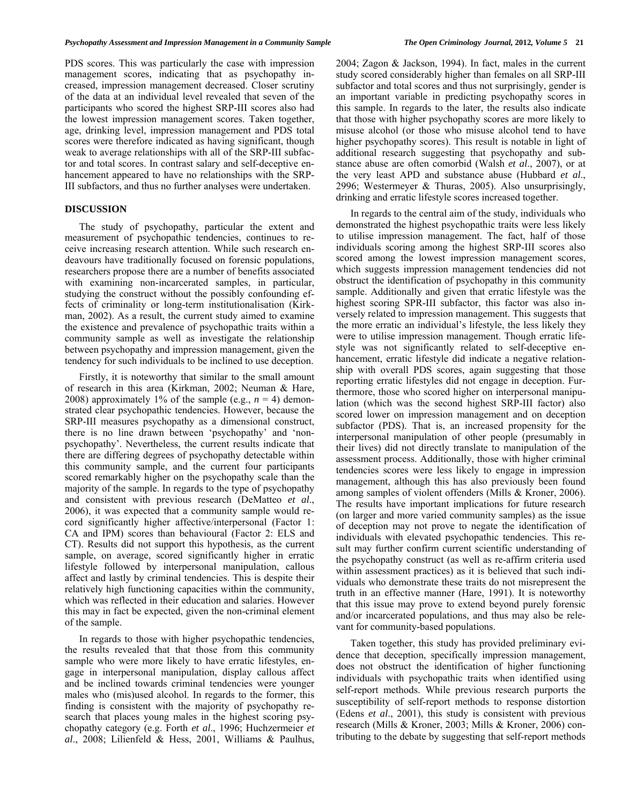PDS scores. This was particularly the case with impression management scores, indicating that as psychopathy increased, impression management decreased. Closer scrutiny of the data at an individual level revealed that seven of the participants who scored the highest SRP-III scores also had the lowest impression management scores. Taken together, age, drinking level, impression management and PDS total scores were therefore indicated as having significant, though weak to average relationships with all of the SRP-III subfactor and total scores. In contrast salary and self-deceptive enhancement appeared to have no relationships with the SRP-III subfactors, and thus no further analyses were undertaken.

#### **DISCUSSION**

 The study of psychopathy, particular the extent and measurement of psychopathic tendencies, continues to receive increasing research attention. While such research endeavours have traditionally focused on forensic populations, researchers propose there are a number of benefits associated with examining non-incarcerated samples, in particular, studying the construct without the possibly confounding effects of criminality or long-term institutionalisation (Kirkman, 2002). As a result, the current study aimed to examine the existence and prevalence of psychopathic traits within a community sample as well as investigate the relationship between psychopathy and impression management, given the tendency for such individuals to be inclined to use deception.

 Firstly, it is noteworthy that similar to the small amount of research in this area (Kirkman, 2002; Neuman & Hare, 2008) approximately 1% of the sample (e.g.,  $n = 4$ ) demonstrated clear psychopathic tendencies. However, because the SRP-III measures psychopathy as a dimensional construct, there is no line drawn between 'psychopathy' and 'nonpsychopathy'. Nevertheless, the current results indicate that there are differing degrees of psychopathy detectable within this community sample, and the current four participants scored remarkably higher on the psychopathy scale than the majority of the sample. In regards to the type of psychopathy and consistent with previous research (DeMatteo *et al*., 2006), it was expected that a community sample would record significantly higher affective/interpersonal (Factor 1: CA and IPM) scores than behavioural (Factor 2: ELS and CT). Results did not support this hypothesis, as the current sample, on average, scored significantly higher in erratic lifestyle followed by interpersonal manipulation, callous affect and lastly by criminal tendencies. This is despite their relatively high functioning capacities within the community, which was reflected in their education and salaries. However this may in fact be expected, given the non-criminal element of the sample.

 In regards to those with higher psychopathic tendencies, the results revealed that that those from this community sample who were more likely to have erratic lifestyles, engage in interpersonal manipulation, display callous affect and be inclined towards criminal tendencies were younger males who (mis)used alcohol. In regards to the former, this finding is consistent with the majority of psychopathy research that places young males in the highest scoring psychopathy category (e.g. Forth *et al*., 1996; Huchzermeier *et al*., 2008; Lilienfeld & Hess, 2001, Williams & Paulhus,

subfactor and total scores and thus not surprisingly, gender is an important variable in predicting psychopathy scores in this sample. In regards to the later, the results also indicate that those with higher psychopathy scores are more likely to misuse alcohol (or those who misuse alcohol tend to have higher psychopathy scores). This result is notable in light of additional research suggesting that psychopathy and substance abuse are often comorbid (Walsh *et al*., 2007), or at the very least APD and substance abuse (Hubbard *et al*., 2996; Westermeyer & Thuras, 2005). Also unsurprisingly, drinking and erratic lifestyle scores increased together.

 In regards to the central aim of the study, individuals who demonstrated the highest psychopathic traits were less likely to utilise impression management. The fact, half of those individuals scoring among the highest SRP-III scores also scored among the lowest impression management scores, which suggests impression management tendencies did not obstruct the identification of psychopathy in this community sample. Additionally and given that erratic lifestyle was the highest scoring SPR-III subfactor, this factor was also inversely related to impression management. This suggests that the more erratic an individual's lifestyle, the less likely they were to utilise impression management. Though erratic lifestyle was not significantly related to self-deceptive enhancement, erratic lifestyle did indicate a negative relationship with overall PDS scores, again suggesting that those reporting erratic lifestyles did not engage in deception. Furthermore, those who scored higher on interpersonal manipulation (which was the second highest SRP-III factor) also scored lower on impression management and on deception subfactor (PDS). That is, an increased propensity for the interpersonal manipulation of other people (presumably in their lives) did not directly translate to manipulation of the assessment process. Additionally, those with higher criminal tendencies scores were less likely to engage in impression management, although this has also previously been found among samples of violent offenders (Mills & Kroner, 2006). The results have important implications for future research (on larger and more varied community samples) as the issue of deception may not prove to negate the identification of individuals with elevated psychopathic tendencies. This result may further confirm current scientific understanding of the psychopathy construct (as well as re-affirm criteria used within assessment practices) as it is believed that such individuals who demonstrate these traits do not misrepresent the truth in an effective manner (Hare, 1991). It is noteworthy that this issue may prove to extend beyond purely forensic and/or incarcerated populations, and thus may also be relevant for community-based populations.

 Taken together, this study has provided preliminary evidence that deception, specifically impression management, does not obstruct the identification of higher functioning individuals with psychopathic traits when identified using self-report methods. While previous research purports the susceptibility of self-report methods to response distortion (Edens *et al*., 2001), this study is consistent with previous research (Mills & Kroner, 2003; Mills & Kroner, 2006) contributing to the debate by suggesting that self-report methods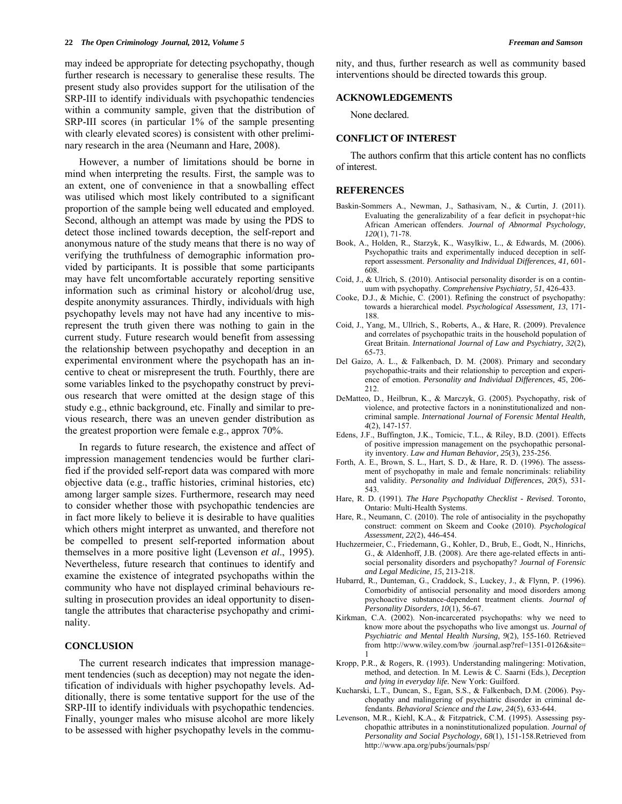may indeed be appropriate for detecting psychopathy, though further research is necessary to generalise these results. The present study also provides support for the utilisation of the SRP-III to identify individuals with psychopathic tendencies within a community sample, given that the distribution of SRP-III scores (in particular 1% of the sample presenting with clearly elevated scores) is consistent with other preliminary research in the area (Neumann and Hare, 2008).

 However, a number of limitations should be borne in mind when interpreting the results. First, the sample was to an extent, one of convenience in that a snowballing effect was utilised which most likely contributed to a significant proportion of the sample being well educated and employed. Second, although an attempt was made by using the PDS to detect those inclined towards deception, the self-report and anonymous nature of the study means that there is no way of verifying the truthfulness of demographic information provided by participants. It is possible that some participants may have felt uncomfortable accurately reporting sensitive information such as criminal history or alcohol/drug use, despite anonymity assurances. Thirdly, individuals with high psychopathy levels may not have had any incentive to misrepresent the truth given there was nothing to gain in the current study. Future research would benefit from assessing the relationship between psychopathy and deception in an experimental environment where the psychopath has an incentive to cheat or misrepresent the truth. Fourthly, there are some variables linked to the psychopathy construct by previous research that were omitted at the design stage of this study e.g., ethnic background, etc. Finally and similar to previous research, there was an uneven gender distribution as the greatest proportion were female e.g., approx 70%.

 In regards to future research, the existence and affect of impression management tendencies would be further clarified if the provided self-report data was compared with more objective data (e.g., traffic histories, criminal histories, etc) among larger sample sizes. Furthermore, research may need to consider whether those with psychopathic tendencies are in fact more likely to believe it is desirable to have qualities which others might interpret as unwanted, and therefore not be compelled to present self-reported information about themselves in a more positive light (Levenson *et al*., 1995). Nevertheless, future research that continues to identify and examine the existence of integrated psychopaths within the community who have not displayed criminal behaviours resulting in prosecution provides an ideal opportunity to disentangle the attributes that characterise psychopathy and criminality.

## **CONCLUSION**

 The current research indicates that impression management tendencies (such as deception) may not negate the identification of individuals with higher psychopathy levels. Additionally, there is some tentative support for the use of the SRP-III to identify individuals with psychopathic tendencies. Finally, younger males who misuse alcohol are more likely to be assessed with higher psychopathy levels in the community, and thus, further research as well as community based interventions should be directed towards this group.

## **ACKNOWLEDGEMENTS**

None declared.

### **CONFLICT OF INTEREST**

 The authors confirm that this article content has no conflicts of interest.

## **REFERENCES**

- Baskin-Sommers A., Newman, J., Sathasivam, N., & Curtin, J. (2011). Evaluating the generalizability of a fear deficit in psychopat+hic African American offenders. *Journal of Abnormal Psychology, 120*(1), 71-78.
- Book, A., Holden, R., Starzyk, K., Wasylkiw, L., & Edwards, M. (2006). Psychopathic traits and experimentally induced deception in selfreport assessment. *Personality and Individual Differences, 41,* 601- 608.
- Coid, J., & Ulrich, S. (2010). Antisocial personality disorder is on a continuum with psychopathy. *Comprehensive Psychiatry, 51*, 426-433.
- Cooke, D.J., & Michie, C. (2001). Refining the construct of psychopathy: towards a hierarchical model. *Psychological Assessment, 13*, 171- 188.
- Coid, J., Yang, M., Ullrich, S., Roberts, A., & Hare, R. (2009). Prevalence and correlates of psychopathic traits in the household population of Great Britain. *International Journal of Law and Psychiatry, 32*(2), 65-73.
- Del Gaizo, A. L., & Falkenbach, D. M. (2008). Primary and secondary psychopathic-traits and their relationship to perception and experience of emotion. *Personality and Individual Differences, 45*, 206- 212.
- DeMatteo, D., Heilbrun, K., & Marczyk, G. (2005). Psychopathy, risk of violence, and protective factors in a noninstitutionalized and noncriminal sample. *International Journal of Forensic Mental Health, 4*(2), 147-157.
- Edens, J.F., Buffington, J.K., Tomicic, T.L., & Riley, B.D. (2001). Effects of positive impression management on the psychopathic personality inventory. *Law and Human Behavior, 25*(3), 235-256.
- Forth, A. E., Brown, S. L., Hart, S. D., & Hare, R. D. (1996). The assessment of psychopathy in male and female noncriminals: reliability and validity. *Personality and Individual Differences, 20*(5), 531- 543.
- Hare, R. D. (1991). *The Hare Psychopathy Checklist Revised*. Toronto, Ontario: Multi-Health Systems.
- Hare, R., Neumann, C. (2010). The role of antisociality in the psychopathy construct: comment on Skeem and Cooke (2010). *Psychological Assessment, 22*(2), 446-454.
- Huchzermeier, C., Friedemann, G., Kohler, D., Brub, E., Godt, N., Hinrichs, G., & Aldenhoff, J.B. (2008). Are there age-related effects in antisocial personality disorders and psychopathy? *Journal of Forensic and Legal Medicine, 15*, 213-218.
- Hubarrd, R., Dunteman, G., Craddock, S., Luckey, J., & Flynn, P. (1996). Comorbidity of antisocial personality and mood disorders among psychoactive substance-dependent treatment clients. *Journal of Personality Disorders, 10*(1), 56-67.
- Kirkman, C.A. (2002). Non-incarcerated psychopaths: why we need to know more about the psychopaths who live amongst us. *Journal of Psychiatric and Mental Health Nursing, 9*(2), 155-160. Retrieved from <http://www.wiley.com/bw> /journal.asp?ref=1351-0126&site= 1
- Kropp, P.R., & Rogers, R. (1993). Understanding malingering: Motivation, method, and detection. In M. Lewis & C. Saarni (Eds.), *Deception and lying in everyday life.* New York: Guilford.
- Kucharski, L.T., Duncan, S., Egan, S.S., & Falkenbach, D.M. (2006). Psychopathy and malingering of psychiatric disorder in criminal defendants. *Behavioral Science and the Law, 24*(5), 633-644.
- Levenson, M.R., Kiehl, K.A., & Fitzpatrick, C.M. (1995). Assessing psychopathic attributes in a noninstitutionalized population. *Journal of Personality and Social Psychology, 68*(1), 151-158.Retrieved from [http://www.apa.org/p](http://www.apa.org/)ubs/journals/psp/